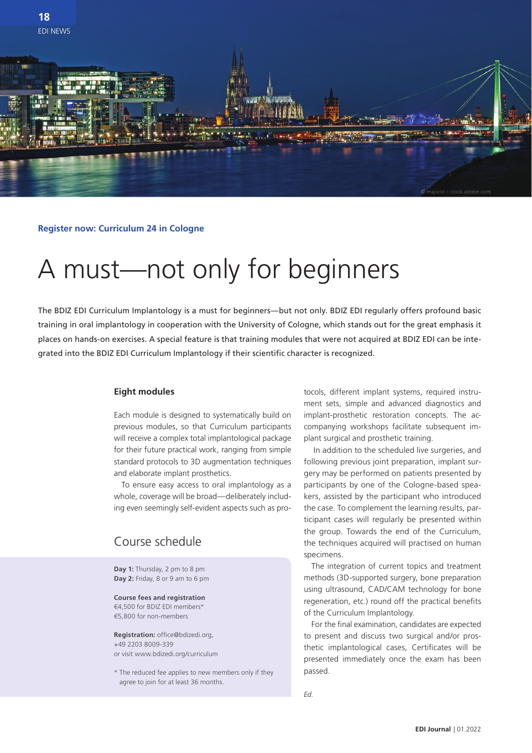

**Register now: Curriculum 24 in Cologne**

# A must—not only for beginners

The BDIZ EDI Curriculum Implantology is a must for beginners—but not only. BDIZ EDI regularly offers profound basic training in oral implantology in cooperation with the University of Cologne, which stands out for the great emphasis it places on hands-on exercises. A special feature is that training modules that were not acquired at BDIZ EDI can be integrated into the BDIZ EDI Curriculum Implantology if their scientific character is recognized.

### **Eight modules**

Each module is designed to systematically build on previous modules, so that Curriculum participants will receive a complex total implantological package for their future practical work, ranging from simple standard protocols to 3D augmentation techniques and elaborate implant prosthetics.

To ensure easy access to oral implantology as a whole, coverage will be broad—deliberately including even seemingly self-evident aspects such as pro-

### Course schedule

**Day 1:** Thursday, 2 pm to 8 pm **Day 2:** Friday, 8 or 9 am to 6 pm

**Course fees and registration** €4,500 for BDIZ EDI members\* €5,800 for non-members

**Registration:** office@bdizedi.org, +49 2203 8009-339 or visit www.bdizedi.org/curriculum

\* The reduced fee applies to new members only if they agree to join for at least 36 months.

tocols, different implant systems, required instrument sets, simple and advanced diagnostics and implant-prosthetic restoration concepts. The accompanying workshops facilitate subsequent implant surgical and prosthetic training.

In addition to the scheduled live surgeries, and following previous joint preparation, implant surgery may be performed on patients presented by participants by one of the Cologne-based speakers, assisted by the participant who introduced the case. To complement the learning results, participant cases will regularly be presented within the group. Towards the end of the Curriculum, the techniques acquired will practised on human specimens.

The integration of current topics and treatment methods (3D-supported surgery, bone preparation using ultrasound, CAD/CAM technology for bone regeneration, etc.) round off the practical benefits of the Curriculum Implantology.

For the final examination, candidates are expected to present and discuss two surgical and/or prosthetic implantological cases, Certificates will be presented immediately once the exam has been passed.